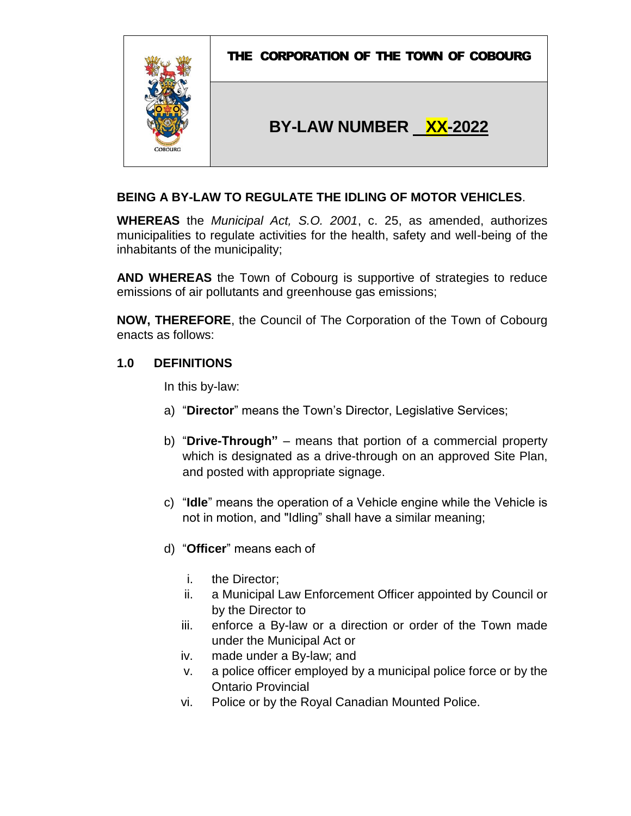

# **BEING A BY-LAW TO REGULATE THE IDLING OF MOTOR VEHICLES**.

**WHEREAS** the *Municipal Act, S.O. 2001*, c. 25, as amended, authorizes municipalities to regulate activities for the health, safety and well-being of the inhabitants of the municipality;

**AND WHEREAS** the Town of Cobourg is supportive of strategies to reduce emissions of air pollutants and greenhouse gas emissions;

**NOW, THEREFORE**, the Council of The Corporation of the Town of Cobourg enacts as follows:

# **1.0 DEFINITIONS**

In this by-law:

- a) "**Director**" means the Town's Director, Legislative Services;
- b) "**Drive-Through"** means that portion of a commercial property which is designated as a drive-through on an approved Site Plan, and posted with appropriate signage.
- c) "**Idle**" means the operation of a Vehicle engine while the Vehicle is not in motion, and "Idling" shall have a similar meaning;
- d) "**Officer**" means each of
	- i. the Director;
	- ii. a Municipal Law Enforcement Officer appointed by Council or by the Director to
	- iii. enforce a By-law or a direction or order of the Town made under the Municipal Act or
	- iv. made under a By-law; and
	- v. a police officer employed by a municipal police force or by the Ontario Provincial
	- vi. Police or by the Royal Canadian Mounted Police.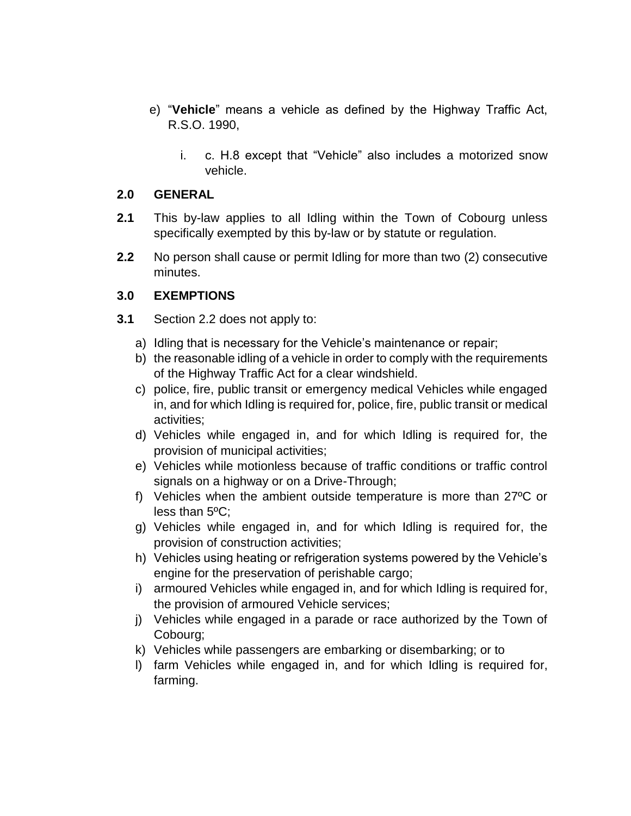- e) "**Vehicle**" means a vehicle as defined by the Highway Traffic Act, R.S.O. 1990,
	- i. c. H.8 except that "Vehicle" also includes a motorized snow vehicle.

#### **2.0 GENERAL**

- **2.1** This by-law applies to all Idling within the Town of Cobourg unless specifically exempted by this by-law or by statute or regulation.
- **2.2** No person shall cause or permit Idling for more than two (2) consecutive minutes.

# **3.0 EXEMPTIONS**

- **3.1** Section 2.2 does not apply to:
	- a) Idling that is necessary for the Vehicle's maintenance or repair;
	- b) the reasonable idling of a vehicle in order to comply with the requirements of the Highway Traffic Act for a clear windshield.
	- c) police, fire, public transit or emergency medical Vehicles while engaged in, and for which Idling is required for, police, fire, public transit or medical activities;
	- d) Vehicles while engaged in, and for which Idling is required for, the provision of municipal activities;
	- e) Vehicles while motionless because of traffic conditions or traffic control signals on a highway or on a Drive-Through;
	- f) Vehicles when the ambient outside temperature is more than 27ºC or less than 5ºC;
	- g) Vehicles while engaged in, and for which Idling is required for, the provision of construction activities;
	- h) Vehicles using heating or refrigeration systems powered by the Vehicle's engine for the preservation of perishable cargo;
	- i) armoured Vehicles while engaged in, and for which Idling is required for, the provision of armoured Vehicle services;
	- j) Vehicles while engaged in a parade or race authorized by the Town of Cobourg;
	- k) Vehicles while passengers are embarking or disembarking; or to
	- l) farm Vehicles while engaged in, and for which Idling is required for, farming.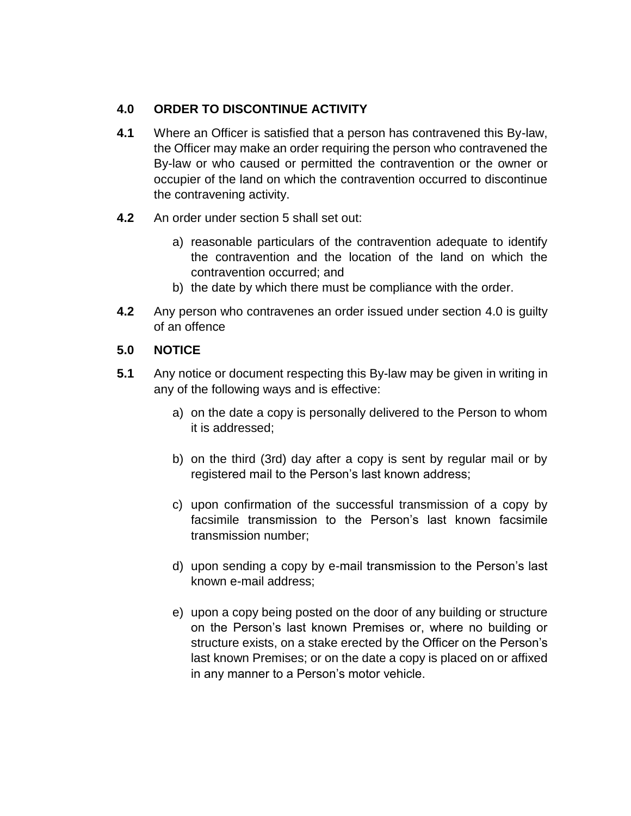# **4.0 ORDER TO DISCONTINUE ACTIVITY**

- **4.1** Where an Officer is satisfied that a person has contravened this By-law, the Officer may make an order requiring the person who contravened the By-law or who caused or permitted the contravention or the owner or occupier of the land on which the contravention occurred to discontinue the contravening activity.
- **4.2** An order under section 5 shall set out:
	- a) reasonable particulars of the contravention adequate to identify the contravention and the location of the land on which the contravention occurred; and
	- b) the date by which there must be compliance with the order.
- **4.2** Any person who contravenes an order issued under section 4.0 is guilty of an offence

# **5.0 NOTICE**

- **5.1** Any notice or document respecting this By-law may be given in writing in any of the following ways and is effective:
	- a) on the date a copy is personally delivered to the Person to whom it is addressed;
	- b) on the third (3rd) day after a copy is sent by regular mail or by registered mail to the Person's last known address;
	- c) upon confirmation of the successful transmission of a copy by facsimile transmission to the Person's last known facsimile transmission number;
	- d) upon sending a copy by e-mail transmission to the Person's last known e-mail address;
	- e) upon a copy being posted on the door of any building or structure on the Person's last known Premises or, where no building or structure exists, on a stake erected by the Officer on the Person's last known Premises; or on the date a copy is placed on or affixed in any manner to a Person's motor vehicle.